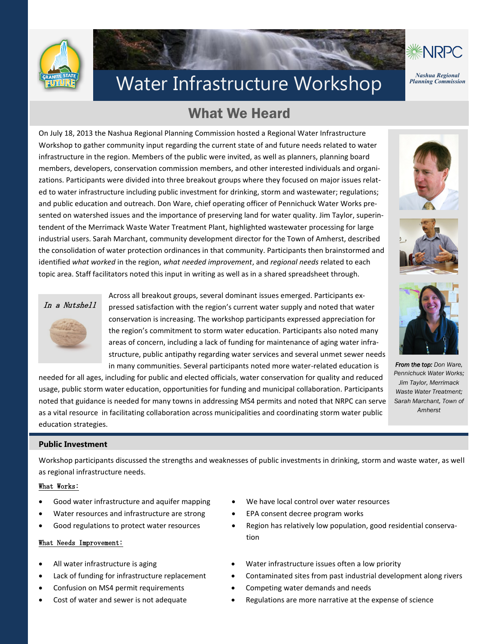



# Water Infrastructure Workshop *Planning Commission*

## What We Heard

On July 18, 2013 the Nashua Regional Planning Commission hosted a Regional Water Infrastructure Workshop to gather community input regarding the current state of and future needs related to water infrastructure in the region. Members of the public were invited, as well as planners, planning board members, developers, conservation commission members, and other interested individuals and organizations. Participants were divided into three breakout groups where they focused on major issues related to water infrastructure including public investment for drinking, storm and wastewater; regulations; and public education and outreach. Don Ware, chief operating officer of Pennichuck Water Works presented on watershed issues and the importance of preserving land for water quality. Jim Taylor, superintendent of the Merrimack Waste Water Treatment Plant, highlighted wastewater processing for large industrial users. Sarah Marchant, community development director for the Town of Amherst, described the consolidation of water protection ordinances in that community. Participants then brainstormed and identified *what worked* in the region, *what needed improvement*, and *regional needs* related to each topic area. Staff facilitators noted this input in writing as well as in a shared spreadsheet through.





Across all breakout groups, several dominant issues emerged. Participants expressed satisfaction with the region's current water supply and noted that water conservation is increasing. The workshop participants expressed appreciation for the region's commitment to storm water education. Participants also noted many areas of concern, including a lack of funding for maintenance of aging water infrastructure, public antipathy regarding water services and several unmet sewer needs in many communities. Several participants noted more water-related education is

needed for all ages, including for public and elected officials, water conservation for quality and reduced usage, public storm water education, opportunities for funding and municipal collaboration. Participants noted that guidance is needed for many towns in addressing MS4 permits and noted that NRPC can serve as a vital resource in facilitating collaboration across municipalities and coordinating storm water public education strategies.







*From the top: Don Ware, Pennichuck Water Works; Jim Taylor, Merrimack Waste Water Treatment; Sarah Marchant, Town of Amherst*

#### **Public Investment**

Workshop participants discussed the strengths and weaknesses of public investments in drinking, storm and waste water, as well as regional infrastructure needs.

#### What Works:

- Good water infrastructure and aquifer mapping
- Water resources and infrastructure are strong
- Good regulations to protect water resources

#### What Needs Improvement:

- All water infrastructure is aging
- Lack of funding for infrastructure replacement
- Confusion on MS4 permit requirements
- Cost of water and sewer is not adequate
- We have local control over water resources
- EPA consent decree program works
- Region has relatively low population, good residential conservation
- Water infrastructure issues often a low priority
- Contaminated sites from past industrial development along rivers
- Competing water demands and needs
- Regulations are more narrative at the expense of science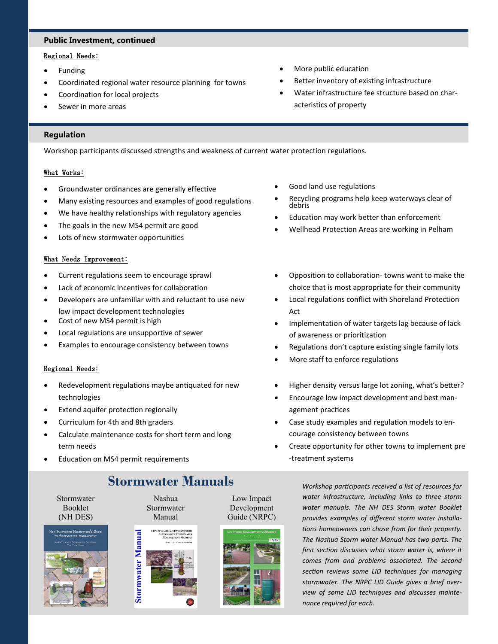#### **Public Investment, continued**

#### Regional Needs:

- Funding
- Coordinated regional water resource planning for towns
- Coordination for local projects
- Sewer in more areas
- More public education
- Better inventory of existing infrastructure
- Water infrastructure fee structure based on characteristics of property

#### **Regulation**

Workshop participants discussed strengths and weakness of current water protection regulations.

#### What Works:

- Groundwater ordinances are generally effective
- Many existing resources and examples of good regulations
- We have healthy relationships with regulatory agencies
- The goals in the new MS4 permit are good
- Lots of new stormwater opportunities

#### What Needs Improvement:

- Current regulations seem to encourage sprawl
- Lack of economic incentives for collaboration
- Developers are unfamiliar with and reluctant to use new low impact development technologies
- Cost of new MS4 permit is high
- Local regulations are unsupportive of sewer
- Examples to encourage consistency between towns

#### Regional Needs:

- Redevelopment regulations maybe antiquated for new technologies
- Extend aquifer protection regionally
- Curriculum for 4th and 8th graders
- Calculate maintenance costs for short term and long term needs
- Education on MS4 permit requirements

### **Stormwater Manuals**

Stormwater Booklet (NH DES)







Low Impact Development Guide (NRPC)



*Workshop participants received a list of resources for water infrastructure, including links to three storm water manuals. The NH DES Storm water Booklet provides examples of different storm water installations homeowners can chose from for their property. The Nashua Storm water Manual has two parts. The first section discusses what storm water is, where it comes from and problems associated. The second section reviews some LID techniques for managing stormwater. The NRPC LID Guide gives a brief overview of some LID techniques and discusses maintenance required for each.*

- Good land use regulations
- Recycling programs help keep waterways clear of debris
- Education may work better than enforcement
- Wellhead Protection Areas are working in Pelham
- Opposition to collaboration- towns want to make the choice that is most appropriate for their community
- Local regulations conflict with Shoreland Protection Act
- Implementation of water targets lag because of lack of awareness or prioritization
- Regulations don't capture existing single family lots
- More staff to enforce regulations
- Higher density versus large lot zoning, what's better?
- Encourage low impact development and best management practices
- Case study examples and regulation models to encourage consistency between towns
- Create opportunity for other towns to implement pre -treatment systems